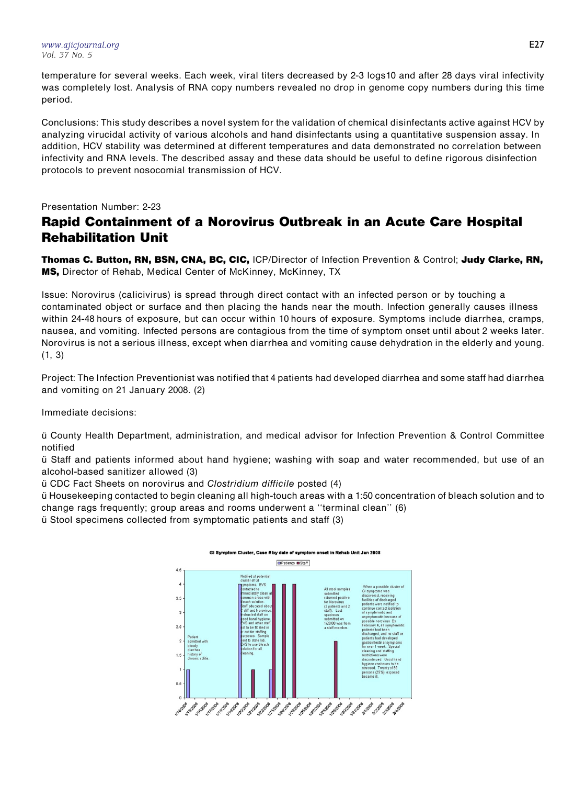[www.ajicjournal.org](http://www.ajicjournal.org) Vol. 37 No. 5

temperature for several weeks. Each week, viral titers decreased by 2-3 logs10 and after 28 days viral infectivity was completely lost. Analysis of RNA copy numbers revealed no drop in genome copy numbers during this time period.

Conclusions: This study describes a novel system for the validation of chemical disinfectants active against HCV by analyzing virucidal activity of various alcohols and hand disinfectants using a quantitative suspension assay. In addition, HCV stability was determined at different temperatures and data demonstrated no correlation between infectivity and RNA levels. The described assay and these data should be useful to define rigorous disinfection protocols to prevent nosocomial transmission of HCV.

Presentation Number: 2-23

## Rapid Containment of a Norovirus Outbreak in an Acute Care Hospital Rehabilitation Unit

Thomas C. Button, RN, BSN, CNA, BC, CIC, ICP/Director of Infection Prevention & Control; Judy Clarke, RN, MS, Director of Rehab, Medical Center of McKinney, McKinney, TX

Issue: Norovirus (calicivirus) is spread through direct contact with an infected person or by touching a contaminated object or surface and then placing the hands near the mouth. Infection generally causes illness within 24-48 hours of exposure, but can occur within 10 hours of exposure. Symptoms include diarrhea, cramps, nausea, and vomiting. Infected persons are contagious from the time of symptom onset until about 2 weeks later. Norovirus is not a serious illness, except when diarrhea and vomiting cause dehydration in the elderly and young. (1, 3)

Project: The Infection Preventionist was notified that 4 patients had developed diarrhea and some staff had diarrhea and vomiting on 21 January 2008. (2)

Immediate decisions:

u¨ County Health Department, administration, and medical advisor for Infection Prevention & Control Committee notified

u¨ Staff and patients informed about hand hygiene; washing with soap and water recommended, but use of an alcohol-based sanitizer allowed (3)

u¨ CDC Fact Sheets on norovirus and Clostridium difficile posted (4)

u¨ Housekeeping contacted to begin cleaning all high-touch areas with a 1:50 concentration of bleach solution and to change rags frequently; group areas and rooms underwent a ''terminal clean'' (6)

u¨ Stool specimens collected from symptomatic patients and staff (3)